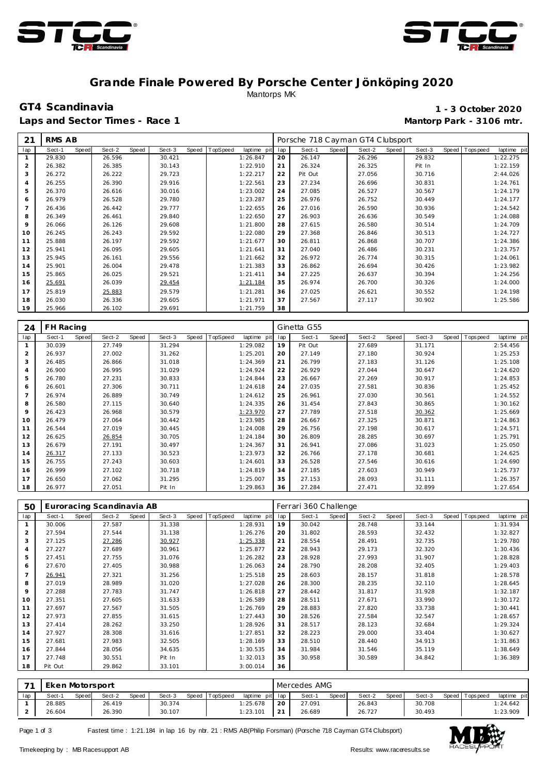



### **Grande Finale Powered By Porsche Center Jönköping 2020** Mantorps MK

Laps and Sector Times - Race 1 **Mantorp Park - 3106 mtr. Mantorp Park - 3106 mtr.** 

# **GT4 Scandinavia 1 - 3 October 2020**

| 21  | RMS AB |                        |        |       |        |       |          |             |     | Porsche 718 Cayman GT4 Clubsport |       |        |       |        |                |             |
|-----|--------|------------------------|--------|-------|--------|-------|----------|-------------|-----|----------------------------------|-------|--------|-------|--------|----------------|-------------|
| lap | Sect-1 | <b>Speed</b><br>Sect-2 |        | Speed | Sect-3 | Speed | TopSpeed | laptime pit | lap | Sect-1                           | Speed | Sect-2 | Speed | Sect-3 | Speed Topspeed | laptime pit |
|     | 29.830 | 26.596                 |        |       | 30.421 |       |          | 1:26.847    | 20  | 26.147                           |       | 26.296 |       | 29.832 |                | 1:22.275    |
| 2   | 26.382 | 26.385                 |        |       | 30.143 |       |          | 1:22.910    | 21  | 26.324                           |       | 26.325 |       | Pit In |                | 1:22.159    |
| 3   | 26.272 | 26.222                 |        |       | 29.723 |       |          | 1:22.217    | 22  | Pit Out                          |       | 27.056 |       | 30.716 |                | 2:44.026    |
| 4   | 26.255 | 26.390                 |        |       | 29.916 |       |          | 1:22.561    | 23  | 27.234                           |       | 26.696 |       | 30.831 |                | 1:24.761    |
| 5   | 26.370 | 26.616                 |        |       | 30.016 |       |          | 1:23.002    | 24  | 27.085                           |       | 26.527 |       | 30.567 |                | 1:24.179    |
| 6   | 26.979 | 26.528                 |        |       | 29.780 |       |          | 1:23.287    | 25  | 26.976                           |       | 26.752 |       | 30.449 |                | 1:24.177    |
|     | 26.436 | 26.442                 |        |       | 29.777 |       |          | 1:22.655    | 26  | 27.016                           |       | 26.590 |       | 30.936 |                | 1:24.542    |
| 8   | 26.349 | 26.461                 |        |       | 29.840 |       |          | 1:22.650    | 27  | 26.903                           |       | 26.636 |       | 30.549 |                | 1:24.088    |
| 9   | 26.066 | 26.126                 |        |       | 29.608 |       |          | 1:21.800    | 28  | 27.615                           |       | 26.580 |       | 30.514 |                | 1:24.709    |
| 10  | 26.245 | 26.243                 |        |       | 29.592 |       |          | 1:22.080    | 29  | 27.368                           |       | 26.846 |       | 30.513 |                | 1:24.727    |
| 11  | 25.888 | 26.197                 |        |       | 29.592 |       |          | 1:21.677    | 30  | 26.811                           |       | 26.868 |       | 30.707 |                | 1:24.386    |
| 12  | 25.941 | 26.095                 |        |       | 29.605 |       |          | 1:21.641    | 31  | 27.040                           |       | 26.486 |       | 30.231 |                | 1:23.757    |
| 13  | 25.945 | 26.161                 |        |       | 29.556 |       |          | 1:21.662    | 32  | 26.972                           |       | 26.774 |       | 30.315 |                | 1:24.061    |
| 14  | 25.901 | 26.004                 |        |       | 29.478 |       |          | 1:21.383    | 33  | 26.862                           |       | 26.694 |       | 30.426 |                | 1:23.982    |
| 15  | 25.865 | 26.025                 |        |       | 29.521 |       |          | 1:21.411    | 34  | 27.225                           |       | 26.637 |       | 30.394 |                | 1:24.256    |
| 16  | 25.691 | 26.039                 |        |       | 29.454 |       |          | 1:21.184    | 35  | 26.974                           |       | 26.700 |       | 30.326 |                | 1:24.000    |
| 17  | 25.819 |                        | 25.883 |       | 29.579 |       |          | 1:21.281    | 36  | 27.025                           |       | 26.621 |       | 30.552 |                | 1:24.198    |
| 18  | 26.030 | 26.336                 |        |       | 29.605 |       |          | 1:21.971    | 37  | 27.567                           |       | 27.117 |       | 30.902 |                | 1:25.586    |
| 19  | 25.966 | 26.102                 |        |       | 29.691 |       |          | 1:21.759    | 38  |                                  |       |        |       |        |                |             |

| 24             | FH Racing |              |        |       |        |       |          |             |     | Ginetta G55 |       |        |       |        |       |             |             |
|----------------|-----------|--------------|--------|-------|--------|-------|----------|-------------|-----|-------------|-------|--------|-------|--------|-------|-------------|-------------|
| lap            | Sect-1    | <b>Speed</b> | Sect-2 | Speed | Sect-3 | Speed | TopSpeed | laptime pit | lap | Sect-1      | Speed | Sect-2 | Speed | Sect-3 | Speed | T ops pee d | laptime pit |
|                | 30.039    |              | 27.749 |       | 31.294 |       |          | 1:29.082    | 19  | Pit Out     |       | 27.689 |       | 31.171 |       |             | 2:54.456    |
| $\overline{2}$ | 26.937    |              | 27.002 |       | 31.262 |       |          | 1:25.201    | 20  | 27.149      |       | 27.180 |       | 30.924 |       |             | 1:25.253    |
| 3              | 26.485    |              | 26.866 |       | 31.018 |       |          | 1:24.369    | 21  | 26.799      |       | 27.183 |       | 31.126 |       |             | 1:25.108    |
| 4              | 26.900    |              | 26.995 |       | 31.029 |       |          | 1:24.924    | 22  | 26.929      |       | 27.044 |       | 30.647 |       |             | 1:24.620    |
| 5              | 26.780    |              | 27.231 |       | 30.833 |       |          | 1:24.844    | 23  | 26.667      |       | 27.269 |       | 30.917 |       |             | 1:24.853    |
| 6              | 26.601    |              | 27.306 |       | 30.711 |       |          | 1:24.618    | 24  | 27.035      |       | 27.581 |       | 30.836 |       |             | 1:25.452    |
| $\overline{7}$ | 26.974    |              | 26.889 |       | 30.749 |       |          | 1:24.612    | 25  | 26.961      |       | 27.030 |       | 30.561 |       |             | 1:24.552    |
| 8              | 26.580    |              | 27.115 |       | 30.640 |       |          | 1:24.335    | 26  | 31.454      |       | 27.843 |       | 30.865 |       |             | 1:30.162    |
| 9              | 26.423    |              | 26.968 |       | 30.579 |       |          | 1:23.970    | 27  | 27.789      |       | 27.518 |       | 30.362 |       |             | 1:25.669    |
| 10             | 26.479    |              | 27.064 |       | 30.442 |       |          | 1:23.985    | 28  | 26.667      |       | 27.325 |       | 30.871 |       |             | 1:24.863    |
| 11             | 26.544    |              | 27.019 |       | 30.445 |       |          | 1:24.008    | 29  | 26.756      |       | 27.198 |       | 30.617 |       |             | 1:24.571    |
| 12             | 26.625    |              | 26.854 |       | 30.705 |       |          | 1:24.184    | 30  | 26.809      |       | 28.285 |       | 30.697 |       |             | 1:25.791    |
| 13             | 26.679    |              | 27.191 |       | 30.497 |       |          | 1:24.367    | 31  | 26.941      |       | 27.086 |       | 31.023 |       |             | 1:25.050    |
| 14             | 26.317    |              | 27.133 |       | 30.523 |       |          | 1:23.973    | 32  | 26.766      |       | 27.178 |       | 30.681 |       |             | 1:24.625    |
| 15             | 26.755    |              | 27.243 |       | 30.603 |       |          | 1:24.601    | 33  | 26.528      |       | 27.546 |       | 30.616 |       |             | 1:24.690    |
| 16             | 26.999    |              | 27.102 |       | 30.718 |       |          | 1:24.819    | 34  | 27.185      |       | 27.603 |       | 30.949 |       |             | 1:25.737    |
| 17             | 26.650    |              | 27.062 |       | 31.295 |       |          | 1:25.007    | 35  | 27.153      |       | 28.093 |       | 31.111 |       |             | 1:26.357    |
| 18             | 26.977    |              | 27.051 |       | Pit In |       |          | 1:29.863    | 36  | 27.284      |       | 27.471 |       | 32.899 |       |             | 1:27.654    |

| 50             |         |       | Euroracing Scandinavia AB |       |        |       |          |             |     | Ferrari 360 Challenge |       |        |       |        |       |           |             |
|----------------|---------|-------|---------------------------|-------|--------|-------|----------|-------------|-----|-----------------------|-------|--------|-------|--------|-------|-----------|-------------|
| lap            | Sect-1  | Speed | Sect-2                    | Speed | Sect-3 | Speed | TopSpeed | laptime pit | lap | Sect-1                | Speed | Sect-2 | Speed | Sect-3 | Speed | Tops peed | laptime pit |
| 1              | 30.006  |       | 27.587                    |       | 31.338 |       |          | 1:28.931    | 19  | 30.042                |       | 28.748 |       | 33.144 |       |           | 1:31.934    |
| 2              | 27.594  |       | 27.544                    |       | 31.138 |       |          | 1:26.276    | 20  | 31.802                |       | 28.593 |       | 32.432 |       |           | 1:32.827    |
| 3              | 27.125  |       | 27.286                    |       | 30.927 |       |          | 1:25.338    | 21  | 28.554                |       | 28.491 |       | 32.735 |       |           | 1:29.780    |
| $\overline{4}$ | 27.227  |       | 27.689                    |       | 30.961 |       |          | 1:25.877    | 22  | 28.943                |       | 29.173 |       | 32.320 |       |           | 1:30.436    |
| 5              | 27.451  |       | 27.755                    |       | 31.076 |       |          | 1:26.282    | 23  | 28.928                |       | 27.993 |       | 31.907 |       |           | 1:28.828    |
| 6              | 27.670  |       | 27.405                    |       | 30.988 |       |          | 1:26.063    | 24  | 28.790                |       | 28.208 |       | 32.405 |       |           | 1:29.403    |
| $\overline{7}$ | 26.941  |       | 27.321                    |       | 31.256 |       |          | 1:25.518    | 25  | 28.603                |       | 28.157 |       | 31.818 |       |           | 1:28.578    |
| 8              | 27.019  |       | 28.989                    |       | 31.020 |       |          | 1:27.028    | 26  | 28.300                |       | 28.235 |       | 32.110 |       |           | 1:28.645    |
| 9              | 27.288  |       | 27.783                    |       | 31.747 |       |          | 1:26.818    | 27  | 28.442                |       | 31.817 |       | 31.928 |       |           | 1:32.187    |
| 10             | 27.351  |       | 27.605                    |       | 31.633 |       |          | 1:26.589    | 28  | 28.511                |       | 27.671 |       | 33.990 |       |           | 1:30.172    |
| 11             | 27.697  |       | 27.567                    |       | 31.505 |       |          | 1:26.769    | 29  | 28.883                |       | 27.820 |       | 33.738 |       |           | 1:30.441    |
| 12             | 27.973  |       | 27.855                    |       | 31.615 |       |          | 1:27.443    | 30  | 28.526                |       | 27.584 |       | 32.547 |       |           | 1:28.657    |
| 13             | 27.414  |       | 28.262                    |       | 33.250 |       |          | 1:28.926    | 31  | 28.517                |       | 28.123 |       | 32.684 |       |           | 1:29.324    |
| 14             | 27.927  |       | 28.308                    |       | 31.616 |       |          | 1:27.851    | 32  | 28.223                |       | 29.000 |       | 33.404 |       |           | 1:30.627    |
| 15             | 27.681  |       | 27.983                    |       | 32.505 |       |          | 1:28.169    | 33  | 28.510                |       | 28.440 |       | 34.913 |       |           | 1:31.863    |
| 16             | 27.844  |       | 28.056                    |       | 34.635 |       |          | 1:30.535    | 34  | 31.984                |       | 31.546 |       | 35.119 |       |           | 1:38.649    |
| 17             | 27.748  |       | 30.551                    |       | Pit In |       |          | 1:32.013    | 35  | 30.958                |       | 30.589 |       | 34.842 |       |           | 1:36.389    |
| 18             | Pit Out |       | 29.862                    |       | 33.101 |       |          | 3:00.014    | 36  |                       |       |        |       |        |       |           |             |

| $\overline{\phantom{a}}$ | Eken Motorsport |       |        |       |        |       |         |                 |                 | Mercedes AMG |        |       |        |       |        |       |          |             |
|--------------------------|-----------------|-------|--------|-------|--------|-------|---------|-----------------|-----------------|--------------|--------|-------|--------|-------|--------|-------|----------|-------------|
| lap                      | Sect-1          | Speed | Sect-2 | Speed | Sect-3 | Speed | opSpeed | laptime pit lap |                 | Sect-1       |        | Speed | Sect-2 | Speed | Sect-3 | Speed | Topspeed | laptime pit |
|                          | 28.885          |       | 26.419 |       | 30.374 |       |         | 1:25.678        | 20              |              | 27.091 |       | 26.843 |       | 30.708 |       |          | 1:24.642    |
|                          | 26.604          |       | 26.390 |       | 30.107 |       |         | 1:23.101        | $\bigcap$<br>∠∣ |              | 26.689 |       | 26.727 |       | 30.493 |       |          | 1:23.909    |

Page 1 of 3 Fastest time : 1:21.184 in lap 16 by nbr. 21 : RMS AB(Philip Forsman) (Porsche 718 Cayman GT4 Clubsport)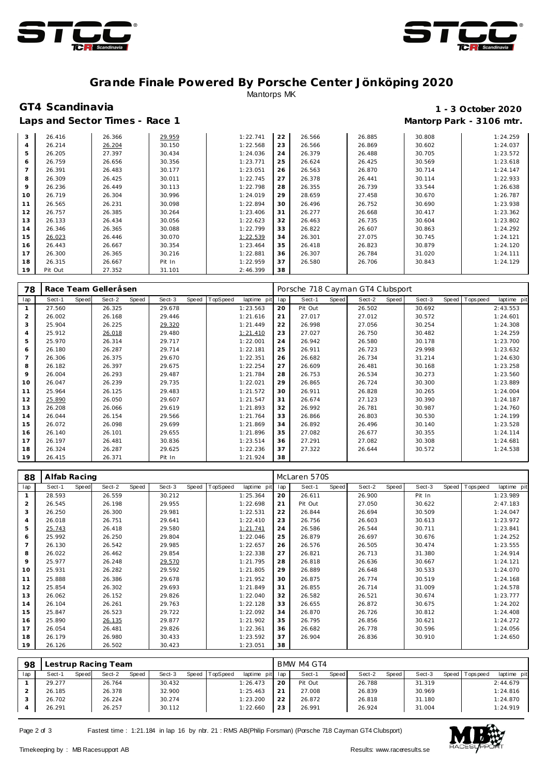



# **Grande Finale Powered By Porsche Center Jönköping 2020** Mantorps MK

# **GT4 Scandinavia 1 - 3 October 2020**

### Laps and Sector Times - Race 1 **Mantorp Park - 3106 mtr. Mantorp Park - 3106 mtr.**

| 3              | 26.416  | 26.366 | 29.959 | 1:22.741 | 22 | 26.566 | 26.885 | 30.808 | 1:24.259 |
|----------------|---------|--------|--------|----------|----|--------|--------|--------|----------|
| 4              | 26.214  | 26.204 | 30.150 | 1:22.568 | 23 | 26.566 | 26.869 | 30.602 | 1:24.037 |
| 5.             | 26.205  | 27.397 | 30.434 | 1:24.036 | 24 | 26.379 | 26.488 | 30.705 | 1:23.572 |
| 6              | 26.759  | 26.656 | 30.356 | 1:23.771 | 25 | 26.624 | 26.425 | 30.569 | 1:23.618 |
| $\overline{7}$ | 26.391  | 26.483 | 30.177 | 1:23.051 | 26 | 26.563 | 26.870 | 30.714 | 1:24.147 |
| 8              | 26.309  | 26.425 | 30.011 | 1:22.745 | 27 | 26.378 | 26.441 | 30.114 | 1:22.933 |
| 9              | 26.236  | 26.449 | 30.113 | 1:22.798 | 28 | 26.355 | 26.739 | 33.544 | 1:26.638 |
| 10             | 26.719  | 26.304 | 30.996 | 1:24.019 | 29 | 28.659 | 27.458 | 30.670 | 1:26.787 |
| 11             | 26.565  | 26.231 | 30.098 | 1:22.894 | 30 | 26.496 | 26.752 | 30.690 | 1:23.938 |
| 12             | 26.757  | 26.385 | 30.264 | 1:23.406 | 31 | 26.277 | 26.668 | 30.417 | 1:23.362 |
| 13             | 26.133  | 26.434 | 30.056 | 1:22.623 | 32 | 26.463 | 26.735 | 30.604 | 1:23.802 |
| 14             | 26.346  | 26.365 | 30.088 | 1:22.799 | 33 | 26.822 | 26.607 | 30.863 | 1:24.292 |
| 15             | 26.023  | 26.446 | 30.070 | 1:22.539 | 34 | 26.301 | 27.075 | 30.745 | 1:24.121 |
| 16             | 26.443  | 26.667 | 30.354 | 1:23.464 | 35 | 26.418 | 26.823 | 30.879 | 1:24.120 |
| 17             | 26.300  | 26.365 | 30.216 | 1:22.881 | 36 | 26.307 | 26.784 | 31.020 | 1:24.111 |
| 18             | 26.315  | 26.667 | Pit In | 1:22.959 | 37 | 26.580 | 26.706 | 30.843 | 1:24.129 |
| 19             | Pit Out | 27.352 | 31.101 | 2:46.399 | 38 |        |        |        |          |

| 78  |        |       | Race Team Gelleråsen |       |        |       |          |             |     | Porsche 718 Cayman GT4 Clubsport |       |        |       |        |       |            |             |
|-----|--------|-------|----------------------|-------|--------|-------|----------|-------------|-----|----------------------------------|-------|--------|-------|--------|-------|------------|-------------|
| lap | Sect-1 | Speed | Sect-2               | Speed | Sect-3 | Speed | TopSpeed | laptime pit | lap | Sect-1                           | Speed | Sect-2 | Speed | Sect-3 | Speed | Tops pee d | laptime pit |
|     | 27.560 |       | 26.325               |       | 29.678 |       |          | 1:23.563    | 20  | Pit Out                          |       | 26.502 |       | 30.692 |       |            | 2:43.553    |
| 2   | 26.002 |       | 26.168               |       | 29.446 |       |          | 1:21.616    | 21  | 27.017                           |       | 27.012 |       | 30.572 |       |            | 1:24.601    |
| 3   | 25.904 |       | 26.225               |       | 29.320 |       |          | 1:21.449    | 22  | 26.998                           |       | 27.056 |       | 30.254 |       |            | 1:24.308    |
| 4   | 25.912 |       | 26.018               |       | 29.480 |       |          | 1:21.410    | 23  | 27.027                           |       | 26.750 |       | 30.482 |       |            | 1:24.259    |
| 5   | 25.970 |       | 26.314               |       | 29.717 |       |          | 1:22.001    | 24  | 26.942                           |       | 26.580 |       | 30.178 |       |            | 1:23.700    |
| 6   | 26.180 |       | 26.287               |       | 29.714 |       |          | 1:22.181    | 25  | 26.911                           |       | 26.723 |       | 29.998 |       |            | 1:23.632    |
|     | 26.306 |       | 26.375               |       | 29.670 |       |          | 1:22.351    | 26  | 26.682                           |       | 26.734 |       | 31.214 |       |            | 1:24.630    |
| 8   | 26.182 |       | 26.397               |       | 29.675 |       |          | 1:22.254    | 27  | 26.609                           |       | 26.481 |       | 30.168 |       |            | 1:23.258    |
| 9   | 26.004 |       | 26.293               |       | 29.487 |       |          | 1:21.784    | 28  | 26.753                           |       | 26.534 |       | 30.273 |       |            | 1:23.560    |
| 10  | 26.047 |       | 26.239               |       | 29.735 |       |          | 1:22.021    | 29  | 26.865                           |       | 26.724 |       | 30.300 |       |            | 1:23.889    |
| 11  | 25.964 |       | 26.125               |       | 29.483 |       |          | 1:21.572    | 30  | 26.911                           |       | 26.828 |       | 30.265 |       |            | 1:24.004    |
| 12  | 25.890 |       | 26.050               |       | 29.607 |       |          | 1:21.547    | 31  | 26.674                           |       | 27.123 |       | 30.390 |       |            | 1:24.187    |
| 13  | 26.208 |       | 26.066               |       | 29.619 |       |          | 1:21.893    | 32  | 26.992                           |       | 26.781 |       | 30.987 |       |            | 1:24.760    |
| 14  | 26.044 |       | 26.154               |       | 29.566 |       |          | 1:21.764    | 33  | 26.866                           |       | 26.803 |       | 30.530 |       |            | 1:24.199    |
| 15  | 26.072 |       | 26.098               |       | 29.699 |       |          | 1:21.869    | 34  | 26.892                           |       | 26.496 |       | 30.140 |       |            | 1:23.528    |
| 16  | 26.140 |       | 26.101               |       | 29.655 |       |          | 1:21.896    | 35  | 27.082                           |       | 26.677 |       | 30.355 |       |            | 1:24.114    |
| 17  | 26.197 |       | 26.481               |       | 30.836 |       |          | 1:23.514    | 36  | 27.291                           |       | 27.082 |       | 30.308 |       |            | 1:24.681    |
| 18  | 26.324 |       | 26.287               |       | 29.625 |       |          | 1:22.236    | 37  | 27.322                           |       | 26.644 |       | 30.572 |       |            | 1:24.538    |
| 19  | 26.415 |       | 26.371               |       | Pit In |       |          | 1:21.924    | 38  |                                  |       |        |       |        |       |            |             |

| 88             | Alfab Racing |       |        |       |        |       |          |             |     | McLaren 570S |       |        |       |        |       |            |             |
|----------------|--------------|-------|--------|-------|--------|-------|----------|-------------|-----|--------------|-------|--------|-------|--------|-------|------------|-------------|
| lap            | Sect-1       | Speed | Sect-2 | Speed | Sect-3 | Speed | TopSpeed | laptime pit | lap | Sect-1       | Speed | Sect-2 | Speed | Sect-3 | Speed | Tops pee d | laptime pit |
|                | 28.593       |       | 26.559 |       | 30.212 |       |          | 1:25.364    | 20  | 26.611       |       | 26.900 |       | Pit In |       |            | 1:23.989    |
| 2              | 26.545       |       | 26.198 |       | 29.955 |       |          | 1:22.698    | 21  | Pit Out      |       | 27.050 |       | 30.622 |       |            | 2:47.183    |
| 3              | 26.250       |       | 26.300 |       | 29.981 |       |          | 1:22.531    | 22  | 26.844       |       | 26.694 |       | 30.509 |       |            | 1:24.047    |
| 4              | 26.018       |       | 26.751 |       | 29.641 |       |          | 1:22.410    | 23  | 26.756       |       | 26.603 |       | 30.613 |       |            | 1:23.972    |
| 5              | 25.743       |       | 26.418 |       | 29.580 |       |          | 1:21.741    | 24  | 26.586       |       | 26.544 |       | 30.711 |       |            | 1:23.841    |
| 6              | 25.992       |       | 26.250 |       | 29.804 |       |          | 1:22.046    | 25  | 26.879       |       | 26.697 |       | 30.676 |       |            | 1:24.252    |
| $\overline{7}$ | 26.130       |       | 26.542 |       | 29.985 |       |          | 1:22.657    | 26  | 26.576       |       | 26.505 |       | 30.474 |       |            | 1:23.555    |
| 8              | 26.022       |       | 26.462 |       | 29.854 |       |          | 1:22.338    | 27  | 26.821       |       | 26.713 |       | 31.380 |       |            | 1:24.914    |
| 9              | 25.977       |       | 26.248 |       | 29.570 |       |          | 1:21.795    | 28  | 26.818       |       | 26.636 |       | 30.667 |       |            | 1:24.121    |
| 10             | 25.931       |       | 26.282 |       | 29.592 |       |          | 1:21.805    | 29  | 26.889       |       | 26.648 |       | 30.533 |       |            | 1:24.070    |
| 11             | 25.888       |       | 26.386 |       | 29.678 |       |          | 1:21.952    | 30  | 26.875       |       | 26.774 |       | 30.519 |       |            | 1:24.168    |
| 12             | 25.854       |       | 26.302 |       | 29.693 |       |          | 1:21.849    | 31  | 26.855       |       | 26.714 |       | 31.009 |       |            | 1:24.578    |
| 13             | 26.062       |       | 26.152 |       | 29.826 |       |          | 1:22.040    | 32  | 26.582       |       | 26.521 |       | 30.674 |       |            | 1:23.777    |
| 14             | 26.104       |       | 26.261 |       | 29.763 |       |          | 1:22.128    | 33  | 26.655       |       | 26.872 |       | 30.675 |       |            | 1:24.202    |
| 15             | 25.847       |       | 26.523 |       | 29.722 |       |          | 1:22.092    | 34  | 26.870       |       | 26.726 |       | 30.812 |       |            | 1:24.408    |
| 16             | 25.890       |       | 26.135 |       | 29.877 |       |          | 1:21.902    | 35  | 26.795       |       | 26.856 |       | 30.621 |       |            | 1:24.272    |
| 17             | 26.054       |       | 26.481 |       | 29.826 |       |          | 1:22.361    | 36  | 26.682       |       | 26.778 |       | 30.596 |       |            | 1:24.056    |
| 18             | 26.179       |       | 26.980 |       | 30.433 |       |          | 1:23.592    | 37  | 26.904       |       | 26.836 |       | 30.910 |       |            | 1:24.650    |
| 19             | 26.126       |       | 26.502 |       | 30.423 |       |          | 1:23.051    | 38  |              |       |        |       |        |       |            |             |

| 98  |        |       | Lestrup Racing Team |       |        |                |             |     | BMW M4 GT4 |              |        |       |        |       |            |             |
|-----|--------|-------|---------------------|-------|--------|----------------|-------------|-----|------------|--------------|--------|-------|--------|-------|------------|-------------|
| lap | Sect-1 | Speed | Sect-2              | Speed | Sect-3 | Speed TopSpeed | laptime pit | lap | Sect-1     | <b>Speed</b> | Sect-2 | Speed | Sect-3 | Speed | Tops pee d | laptime pit |
|     | 29.277 |       | 26.764              |       | 30.432 |                | 1:26.473    | 20  | Pit Out    |              | 26.788 |       | 31.319 |       |            | 2:44.679    |
|     | 26.185 |       | 26.378              |       | 32.900 |                | 1:25.463    | 21  | 27.008     |              | 26.839 |       | 30.969 |       |            | 1:24.816    |
|     | 26.702 |       | 26.224              |       | 30.274 |                | 1:23.200    | 22  | 26.872     |              | 26.818 |       | 31.180 |       |            | 1:24.870    |
|     | 26.291 |       | 26.257              |       | 30.112 |                | 1:22.660    | 23  | 26.991     |              | 26.924 |       | 31.004 |       |            | 1:24.919    |

Page 2 of 3 Fastest time : 1:21.184 in lap 16 by nbr. 21 : RMS AB(Philip Forsman) (Porsche 718 Cayman GT4 Clubsport)